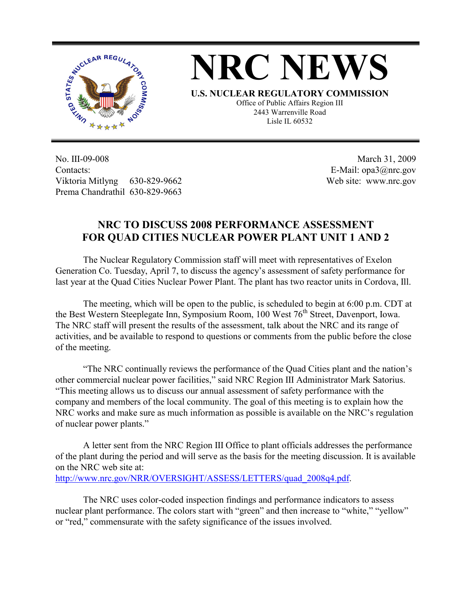



**U.S. NUCLEAR REGULATORY COMMISSION** Office of Public Affairs Region III 2443 Warrenville Road Lisle IL 60532

No. III-09-008 Contacts: Viktoria Mitlyng 630-829-9662 Prema Chandrathil 630-829-9663

 March 31, 2009 E-Mail: opa3@nrc.gov Web site: www.nrc.gov

## **NRC TO DISCUSS 2008 PERFORMANCE ASSESSMENT FOR QUAD CITIES NUCLEAR POWER PLANT UNIT 1 AND 2**

 The Nuclear Regulatory Commission staff will meet with representatives of Exelon Generation Co. Tuesday, April 7, to discuss the agency's assessment of safety performance for last year at the Quad Cities Nuclear Power Plant. The plant has two reactor units in Cordova, Ill.

 The meeting, which will be open to the public, is scheduled to begin at 6:00 p.m. CDT at the Best Western Steeplegate Inn, Symposium Room, 100 West 76<sup>th</sup> Street, Davenport, Iowa. The NRC staff will present the results of the assessment, talk about the NRC and its range of activities, and be available to respond to questions or comments from the public before the close of the meeting.

 "The NRC continually reviews the performance of the Quad Cities plant and the nation's other commercial nuclear power facilities," said NRC Region III Administrator Mark Satorius. "This meeting allows us to discuss our annual assessment of safety performance with the company and members of the local community. The goal of this meeting is to explain how the NRC works and make sure as much information as possible is available on the NRC's regulation of nuclear power plants."

 A letter sent from the NRC Region III Office to plant officials addresses the performance of the plant during the period and will serve as the basis for the meeting discussion. It is available on the NRC web site at:

http://www.nrc.gov/NRR/OVERSIGHT/ASSESS/LETTERS/quad\_2008q4.pdf.

 The NRC uses color-coded inspection findings and performance indicators to assess nuclear plant performance. The colors start with "green" and then increase to "white," "yellow" or "red," commensurate with the safety significance of the issues involved.